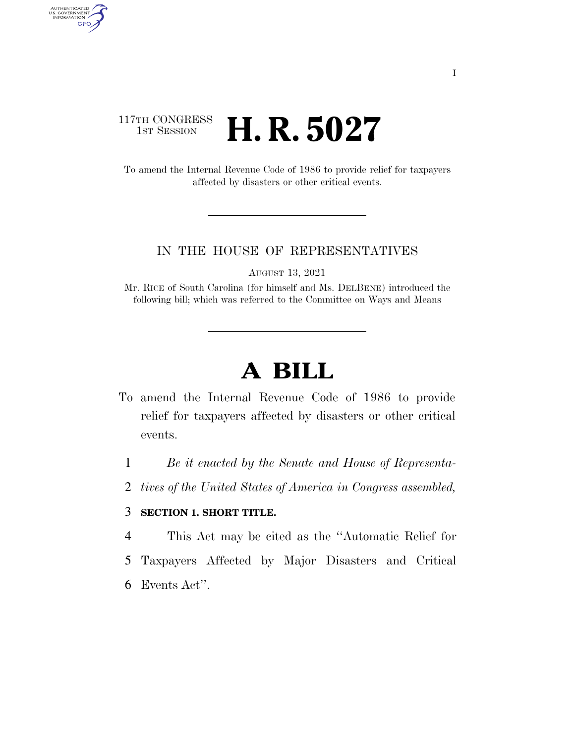## 117TH CONGRESS **1st Session H. R. 5027**

AUTHENTICATED<br>U.S. GOVERNMENT<br>INFORMATION

**GPO** 

To amend the Internal Revenue Code of 1986 to provide relief for taxpayers affected by disasters or other critical events.

## IN THE HOUSE OF REPRESENTATIVES

AUGUST 13, 2021

Mr. RICE of South Carolina (for himself and Ms. DELBENE) introduced the following bill; which was referred to the Committee on Ways and Means

## **A BILL**

- To amend the Internal Revenue Code of 1986 to provide relief for taxpayers affected by disasters or other critical events.
	- 1 *Be it enacted by the Senate and House of Representa-*
	- 2 *tives of the United States of America in Congress assembled,*

## 3 **SECTION 1. SHORT TITLE.**

- 4 This Act may be cited as the ''Automatic Relief for
- 5 Taxpayers Affected by Major Disasters and Critical
- 6 Events Act''.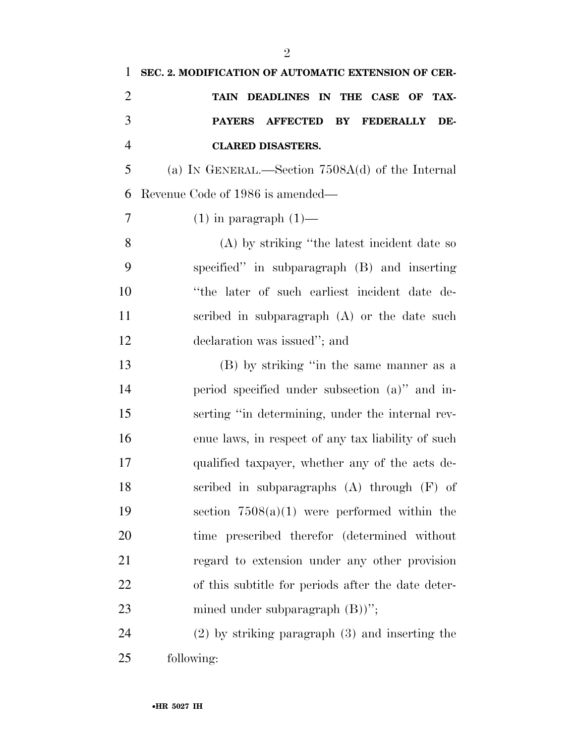| 1              | SEC. 2. MODIFICATION OF AUTOMATIC EXTENSION OF CER- |
|----------------|-----------------------------------------------------|
| $\overline{2}$ | TAIN DEADLINES IN THE CASE OF TAX-                  |
| 3              | PAYERS AFFECTED BY<br><b>FEDERALLY</b><br>DE-       |
| $\overline{4}$ | <b>CLARED DISASTERS.</b>                            |
| 5              | (a) IN GENERAL.—Section $7508A(d)$ of the Internal  |
| 6              | Revenue Code of 1986 is amended—                    |
| 7              | $(1)$ in paragraph $(1)$ —                          |
| 8              | (A) by striking "the latest incident date so        |
| 9              | specified" in subparagraph (B) and inserting        |
| 10             | "the later of such earliest incident date de-       |
| 11             | scribed in subparagraph $(A)$ or the date such      |
| 12             | declaration was issued"; and                        |
| 13             | (B) by striking "in the same manner as a            |
| 14             | period specified under subsection (a)" and in-      |
| 15             | serting "in determining, under the internal rev-    |
| 16             | enue laws, in respect of any tax liability of such  |
| 17             | qualified taxpayer, whether any of the acts de-     |
| 18             | scribed in subparagraphs $(A)$ through $(F)$ of     |
| 19             | section $7508(a)(1)$ were performed within the      |
| 20             | time prescribed therefor (determined without        |
| 21             | regard to extension under any other provision       |
| <u>22</u>      | of this subtitle for periods after the date deter-  |
| 23             | mined under subparagraph $(B)$ )'';                 |
| 24             | $(2)$ by striking paragraph $(3)$ and inserting the |
|                |                                                     |

following: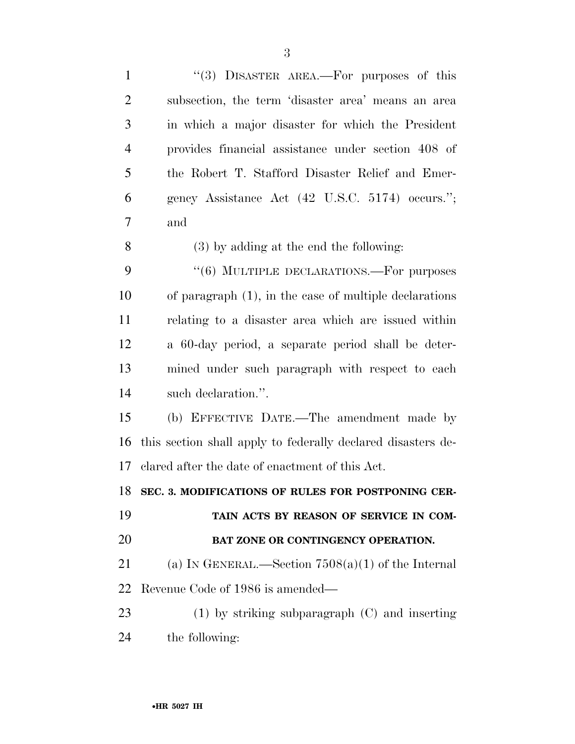| $\mathbf{1}$   | "(3) DISASTER AREA.—For purposes of this                     |
|----------------|--------------------------------------------------------------|
| $\overline{2}$ | subsection, the term 'disaster area' means an area           |
| 3              | in which a major disaster for which the President            |
| $\overline{4}$ | provides financial assistance under section 408 of           |
| 5              | the Robert T. Stafford Disaster Relief and Emer-             |
| 6              | gency Assistance Act (42 U.S.C. 5174) occurs.";              |
| 7              | and                                                          |
| 8              | $(3)$ by adding at the end the following:                    |
| 9              | "(6) MULTIPLE DECLARATIONS.—For purposes                     |
| 10             | of paragraph $(1)$ , in the case of multiple declarations    |
| 11             | relating to a disaster area which are issued within          |
| 12             | a 60-day period, a separate period shall be deter-           |
| 13             | mined under such paragraph with respect to each              |
| 14             | such declaration.".                                          |
| 15             | (b) EFFECTIVE DATE.—The amendment made by                    |
| 16             | this section shall apply to federally declared disasters de- |
| 17             | clared after the date of enactment of this Act.              |
|                | 18 SEC. 3. MODIFICATIONS OF RULES FOR POSTPONING CER-        |
| 19             | TAIN ACTS BY REASON OF SERVICE IN COM-                       |
| 20             |                                                              |
|                | BAT ZONE OR CONTINGENCY OPERATION.                           |
| 21             | (a) IN GENERAL.—Section $7508(a)(1)$ of the Internal         |
| 22             | Revenue Code of 1986 is amended—                             |
| 23             | $(1)$ by striking subparagraph $(C)$ and inserting           |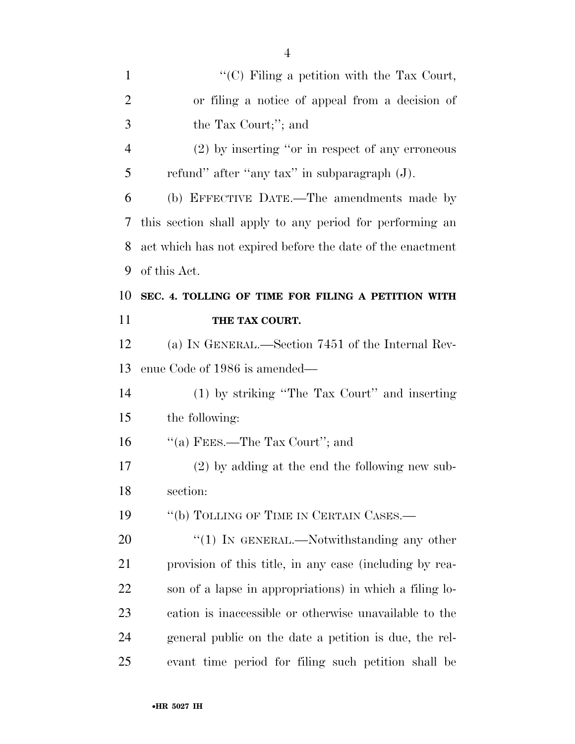| $\mathbf{1}$   | " $(C)$ Filing a petition with the Tax Court,              |
|----------------|------------------------------------------------------------|
| $\overline{2}$ | or filing a notice of appeal from a decision of            |
| 3              | the Tax Court;"; and                                       |
| $\overline{4}$ | $(2)$ by inserting "or in respect of any erroneous         |
| 5              | refund" after "any tax" in subparagraph (J).               |
| 6              | (b) EFFECTIVE DATE.—The amendments made by                 |
| 7              | this section shall apply to any period for performing an   |
| 8              | act which has not expired before the date of the enactment |
| 9              | of this Act.                                               |
| 10             | SEC. 4. TOLLING OF TIME FOR FILING A PETITION WITH         |
| 11             | THE TAX COURT.                                             |
| 12             | (a) IN GENERAL.—Section 7451 of the Internal Rev-          |
|                |                                                            |
| 13             | enue Code of 1986 is amended—                              |
| 14             | (1) by striking "The Tax Court" and inserting              |
| 15             | the following:                                             |
| 16             | "(a) FEES.—The Tax Court"; and                             |
| 17             | $(2)$ by adding at the end the following new sub-          |
| 18             | section:                                                   |
| 19             | "(b) TOLLING OF TIME IN CERTAIN CASES.—                    |
| 20             | $\lq(1)$ In GENERAL.—Notwithstanding any other             |
| 21             | provision of this title, in any case (including by rea-    |
| 22             | son of a lapse in appropriations) in which a filing lo-    |
| 23             | cation is inaccessible or otherwise unavailable to the     |

evant time period for filing such petition shall be